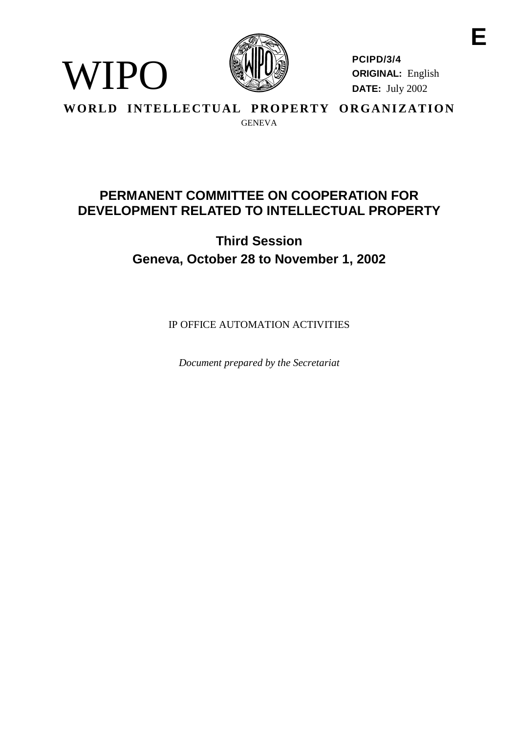

**PCIPD/3/4 ORIGINAL:** English **DATE:** July 2002

**WORLD INTELLECTUAL PROPERTY ORGANIZATION** GENEVA

WIPO

# **PERMANENTCOMMITTEE ONCOOPERATIONFOR DEVELOPMENT RELATED TO INTELLECTUAL PROP ERTY**

**Third Session Geneva, October 28 to November 1, 2002**

IPOFFICE AUTOMATION ACTIVITI ES

*Document prepared by the Secretariat*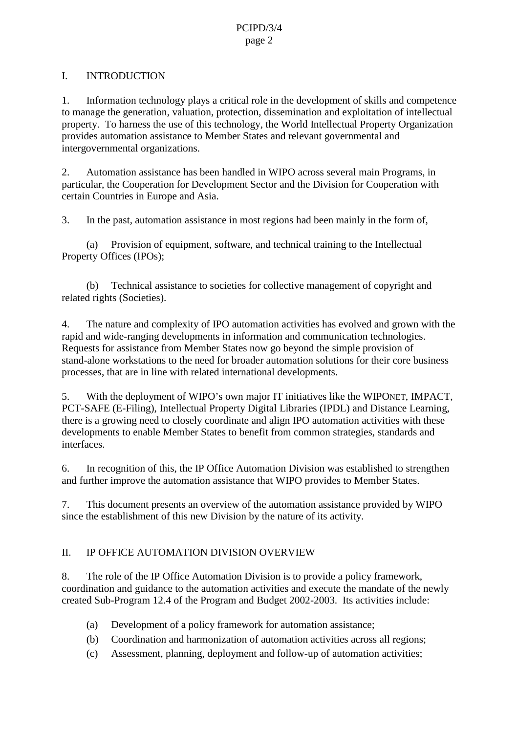### PCIPD/3/4 page 2

### I. INTRODUCTION

1. Information technology plays a critical role in the development of skills and competence to manage the generation, valuation, protection, dissemination and exploitation of intell ectual property. To harness the use of this technology, the World Intellectual Property Organization provides automation assistance to Member States and relevant governmental and intergovernmental organizations.

2. Automation assistance has been handled in WIPO across several main Programs, in particular, the Cooperation for Development Sector and the Division for Cooperation with certain Countries in Europe and Asia.

3. In the past, automation assistance in most regions had been mainly in the form of,

(a) Provision of equipment, software, and technical training to the Intellectual Property Offices (IPOs);

(b) Technical assistance to societies for collective management of copyright and related rights (Societies).

4. The nature and complexity of IPO automation activities has evolved and grown with the rapid and wide -ranging developments in information and communication technologies. Requests for assistance from Member States now go beyond the simple provision of stand-alone workstations to the need for broader automation solutions for their core business processes, that are in line with related international developments.

5. With the deployment of WIPO's own major IT initiatives like the WIPO NET, IMPACT, PCT-SAFE(E-Filing), Intellectual Property Digital Librarie s(IPDL) and Distance Learning, thereisagrowing need to closely coordinate and align IPO automation activities with these developments to enable Member States to benefit from common strategies, standards and interfaces.

6. In recognition of this, the IPO ffice Automation Division was established to strengthen and further improve the automation assistance that WIPO provides to Member States.

7. This document presents an overview of the automation assistance provided by WIPO since the establishment of this new Division by the nature of its activity.

# II. IP OFFICE AUTOMA TION DIVISION OVERVI EW

8. The role of the IP Office Automation Division is to provide a policy framework, coordination and guidance to the automation activities and execute the mandate of the ne wly created Sub -Program 12.4 of the Program and Budget 2002 -2003. Its activities include:

- (a) Development of a policy framework for automation assistance;
- (b) Coordination and harmonization of automation activities across all regions;
- (c) Assessment, planning, deployment and follow -up of automation activities;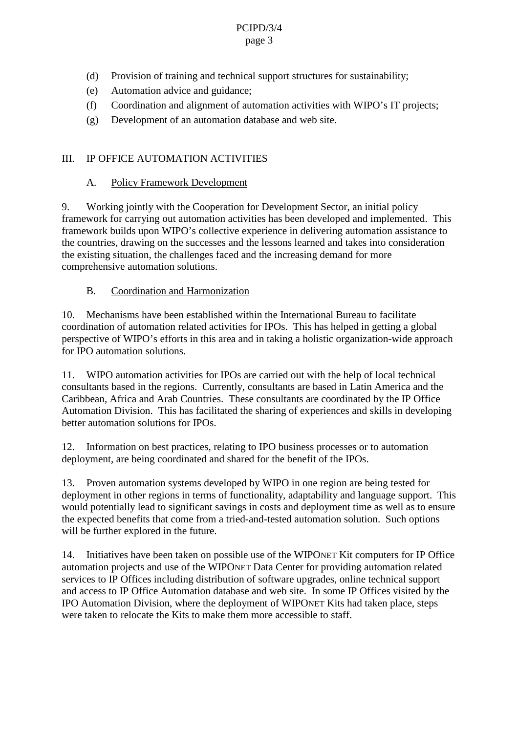# PCIPD/3/4

#### page 3

- (d) Provision of training and technical supports tructures for sustainability;
- (e) Automation advice and guidance;
- (f) Coordination and alignment of automation activities with WIPO's IT projects;
- $(g)$  Development of an automation database and we bsite.

# III. IPOFFICE AUTOM ATION ACTIVITIES

# A. Policy Framework Development

9. Working jointly with the Cooperation for Development Sector, an initial policy framework for carrying out automation activities has been developed and implemented. This framework builds upon WIPO's collective experience in delivering automation assistance to the countries, drawing on the successes and the lessons learned and takes into consideration the existing situation, the cha llenges faced and the increasing demand for more comprehensive automation solutions.

B. Coordination and Harmonization

10. Mechanisms have been established within the International Bureau to facilitate coordination of automation related activities for IPOs. This has helped in getting a global perspective of WIPO's efforts in this area and intaking a holistic organization -wide approach for IPO automation solutions.

11. WIPO automation activities for IPOs are carried out with the help of local technical consultants based in the regions. Currently, consultants are based in Latin America and the Caribbean, Africa and Arab Countries. These consultants are coordinated by the IP Office Automation Division. This has facilitated the sharing of experiences and skills indeveloping better automation solutions for IPOs.

12. Information on best practices, relating to IPO business processes or to automation deployment, are being coordinated and shared for the benefit of the IPOs.

13. Provenautomation systems developed by WIPO i none region are being tested for deployment in other regions in terms of functionality, adaptability and language support. This would potentially lead to significant savings incosts and deployment time as well as to ensure the expected benefits that com efrom a tried -and-tested automation solution. Such options will be further explored in the future.

14. Initiatives have been taken on possible use of the WIPO NET Kit computers for IPOffice automation projects and use of the WIPO NET Data Center for providin gautomation related servicestoIPOfficesincludingdistributionofsoftware upgrades, online technical support and access to IP Office Automation database and web site. In some IP Offices visited by the IPO Automation Division, where the deployment of WIPONET Kits had taken place, steps were taken to relocate the Kits to make them more accessible to staff.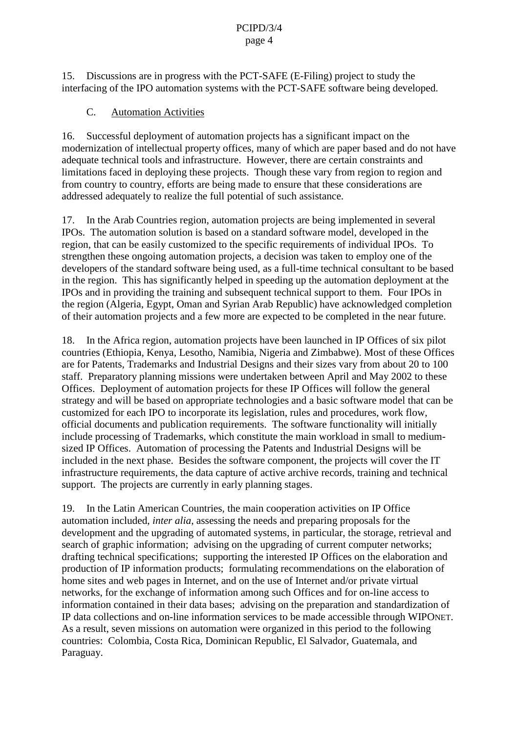#### PCIPD/3/4 page 4

15. Discussions are in progress with the PCT -SAFE (E-Filing) project to study the interfacing of the IPO automations vstems with the PCT -SAFE software being developed.

#### C. Automation Activities

16. Successful deployment of automation projects has a significant impact on the modernization of intellectual property offices, many of which are paper based and donot have adequate technical tools and infrastructu re. However, the reare certain constraints and limitations faced indeploying these projects. Though these vary from region to region and from country to country, efforts are being made to ensure that these considerations are addressed adequately to real ize the full potential of such assistance.

17. In the Arab Countries region, automation projects are being implemented in several IPOs. The automation solution is based on a standard software model, developed in the region, that can be easily customized to the specific requirements of individual IPOs. To strengthen these ongoing automation projects, a decision was taken to employ one of the developers of the standards of tware being used, as a full -time technical consultant to be based in the region. This ha ssignificantly helped in speeding up the automation deployment at the IPOs and in providing the training and subsequent technical support to them. Four IPOs in the region (Algeria, Egypt, Oman and Syrian Arab Republic) have acknowledged completion of the irautomation projects and a few more are expected to be completed in the near future.

18. In the Africa region, automation projects have been launched in IPOffices of six pilot countries (Ethiopia, Kenya, Lesotho, Namibia, Nigeria and Zimbabwe). Most of the seOffices are for Patents, Trademarks and Industrial Designs and their sizes vary from about 20 to 100 staff. Preparatory planning missions were undertaken between April and May 2002 to these Offices. Deployment of automation projects for these IP Offic es will follow the general strategy and will be based on appropriate technologies and a basic software model that can be customized for each IPO to incorporate its legislation, rules and procedures, work flow, official documents and publication requirement s. The software functionality will initially include processing of Trademarks, which constitute the main workload in small to medium sized IP Offices. Automation of processing the Patents and Industrial Designs will be included in the next phase. Beside sthese of tware component, the projects will cover the IT infrastructure requirements, the data capture of active archive records, training and technical support. The projects are currently inearly planning stages.

19. In the Latin American Countries, the ma incooperation activities on IP Office automation included, *interalia*, assessing the needs and preparing proposals for the development and the upgrading of automated systems, in particular, the storage, retrieval and search of graphic information; advisi ng on the upgrading of current computer networks; drafting technical specifications; supporting the interested IP Offices on the elaboration and production of IP information products; formulating recommendations on the elaboration of homesites and web pages in Internet, and on the use of Internet and/or private virtual networks, for the exchange of information among such Offices and for on -line access to information contained in their data bases; advising on the preparation and standardization of IP da tacollections and on -line information services to be made accessible through WIPO NET. As a result, seven missions on automation were organized in this period to the following countries: Colombia, Costa Rica, Dominican Republic, El Salvador, Guatemala, a nd Paraguay.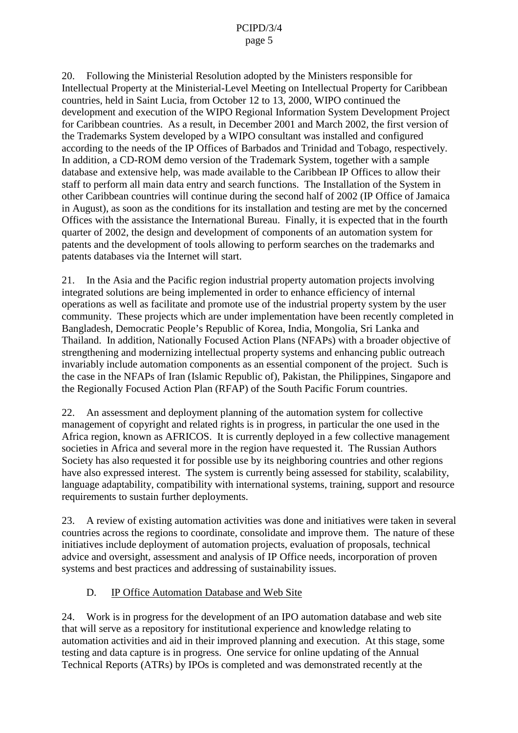20. Following the Ministerial Resolution adopted by the Ministers responsible for Intellectual Property at the Ministerial -Level Meeting on Intellectual Property for Caribbean countries, held in Saint Lucia, from October 12 to 13, 2000, WIP Ocontinued the development and execution of the WIPO Regional Information System Development Project for Caribbean countries. As a result, in December 2001 and March 2002, the first version of the Trademarks System developed by a WIPO consultant was installed and configured according to the needs of the IP Offices of Barbados and Trinidad and Tobago, respectively. In addition, a CD -ROM demoversion of the Trademark System, together with a sample database and extensive help, was made available to the Cari bbean IP Offices to allow their staff to performall main data entry and search functions. The Installation of the System in other Caribbean countries will continue during the second half of 2002 (IP Office of Jamaica in August), as soon as the conditions for its installation and testing are met by the concerned Offices with the assistance the International Bureau. Finally, it is expected that in the fourth quarter of 2002, the design and development of components of an automationsystem for patents and t he development of tools allowing to perform searches on the trademarks and patents databases via the Internet will start.

21. In the Asia and the Pacific region industrial property automation projects involving integrated solutions are being implemented in order to enhance efficiency of internal operations as well as facilitate and promote use of the industrial property system by the user community. These projects which are under implementation have been recently completed in Bangladesh, Democratic People 's Republic of Korea, India, Mongolia, Sri Lanka and Thailand. Inaddition, Nationally Focused Action Plans (NFAPs) with a broader objective of strengthening and modernizing intellectual property systems and enhancing public outreach invariably include au tomation components as an essential component of the project. Such is the case in the NFAPs of Iran (Islamic Republic of), Pakistan, the Philippines, Singapore and the Regionally Focused Action Plan (RFAP) of the South Pacific Forum countries.

22. An ass essment and deployment planning of the automations ystem for collective management of copyright and related rights is in progress, in particular the one used in the Africa region, known as AFRICOS. It is currently deployed in a few collective management societies in Africa and several more in the region have requested it. The Russian Authors Society has also requested it for possible use by its neighboring countries and other regions have also expressed interest. The systemis currently being assessed for restability, scalability, language adaptability, compatibility with international systems, training, support and resource requirements to sustain further deployments.

23. A review of existing automation activities was done and initiatives were taken in section of the veral countries across the regions to coordinate, consolidate and improve them. The nature of these initiatives included eployment of automation projects, evaluation of proposals, technical advice and oversight, assessment and analysis of IPOffice needs, incorporation of proven systems and best practices and addressing of sustainability issues.

### D. IP Office Automation Database and Web Site

24. Workisinprogressforthedevelopment of an IPO automation database and we bsite that will serve as a reposit or y for institutional experience and knowledge relating to automation activities and aid in their improved planning and execution. At this stage, some testing and data capture is inprogress. One service for online updating of the Annual Technical Report s (ATRs) by IPOsis completed and was demonstrated recently at the